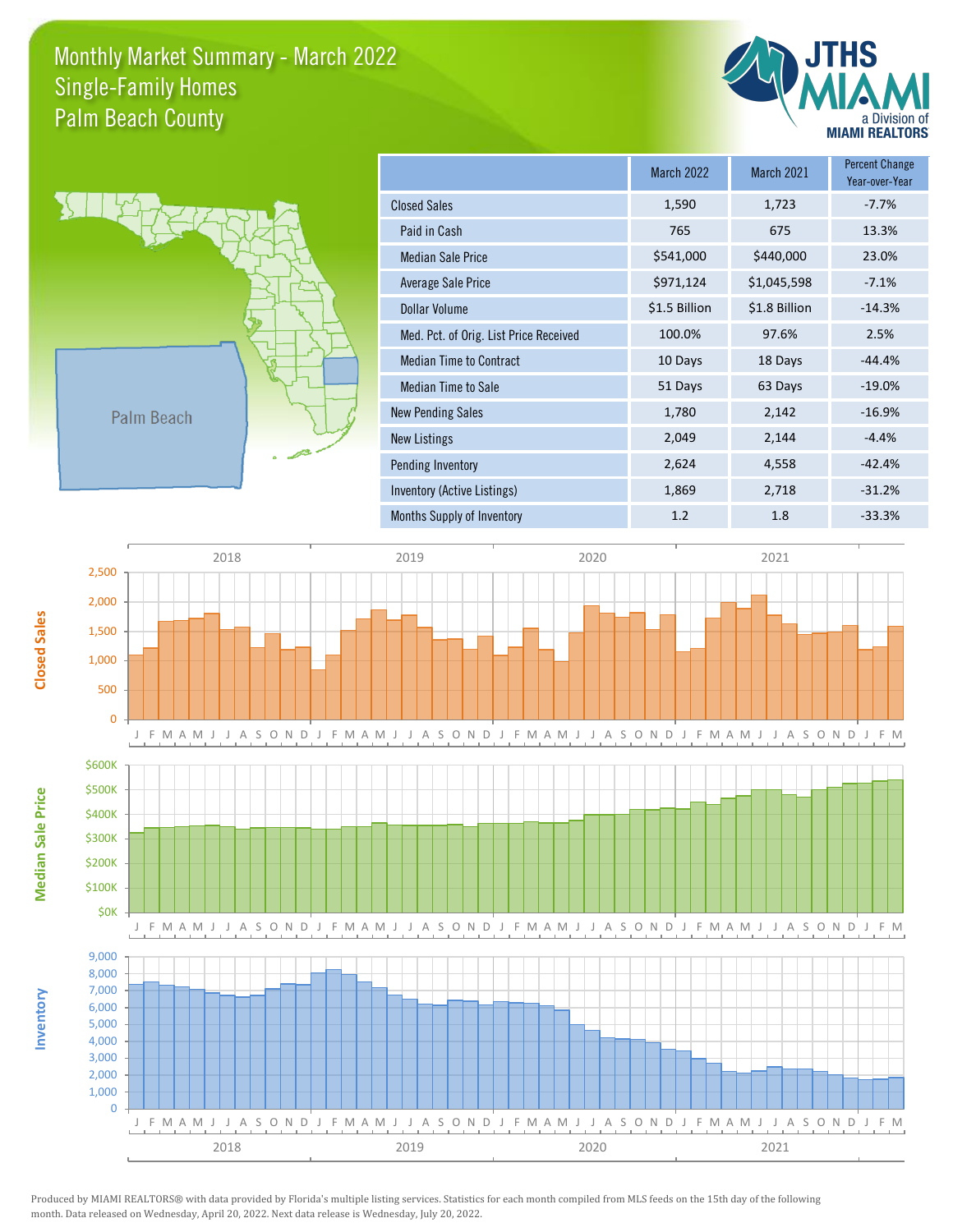## Monthly Market Summary - March 2022 Palm Beach County Single-Family Homes





**Inventory**

**Median Sale Price**

**Median Sale Price** 

**Closed Sales**

|                                        | <b>March 2022</b> | March 2021    | <b>Percent Change</b><br>Year-over-Year |
|----------------------------------------|-------------------|---------------|-----------------------------------------|
| <b>Closed Sales</b>                    | 1,590             | 1,723         | $-7.7%$                                 |
| Paid in Cash                           | 765               | 675           | 13.3%                                   |
| <b>Median Sale Price</b>               | \$541,000         | \$440,000     | 23.0%                                   |
| Average Sale Price                     | \$971,124         | \$1,045,598   | $-7.1%$                                 |
| Dollar Volume                          | \$1.5 Billion     | \$1.8 Billion | $-14.3%$                                |
| Med. Pct. of Orig. List Price Received | 100.0%            | 97.6%         | 2.5%                                    |
| <b>Median Time to Contract</b>         | 10 Days           | 18 Days       | $-44.4%$                                |
| Median Time to Sale                    | 51 Days           | 63 Days       | $-19.0%$                                |
| <b>New Pending Sales</b>               | 1,780             | 2,142         | $-16.9%$                                |
| <b>New Listings</b>                    | 2,049             | 2,144         | $-4.4%$                                 |
| Pending Inventory                      | 2,624             | 4,558         | $-42.4%$                                |
| Inventory (Active Listings)            | 1,869             | 2,718         | $-31.2%$                                |
| Months Supply of Inventory             | 1.2               | 1.8           | $-33.3%$                                |



Produced by MIAMI REALTORS® with data provided by Florida's multiple listing services. Statistics for each month compiled from MLS feeds on the 15th day of the following month. Data released on Wednesday, April 20, 2022. Next data release is Wednesday, July 20, 2022.